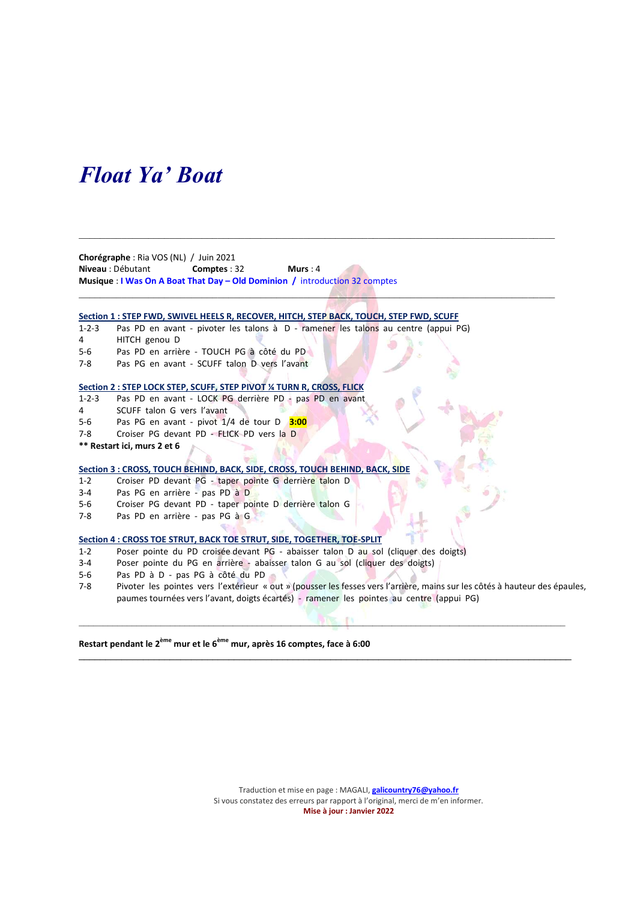## Float Ya' Boat

Chorégraphe : Ria VOS (NL) / Juin 2021 Niveau : Débutant Comptes : 32 Murs : 4 Musique : I Was On A Boat That Day – Old Dominion / introduction 32 comptes

#### Section 1 : STEP FWD, SWIVEL HEELS R, RECOVER, HITCH, STEP BACK, TOUCH, STEP FWD, SCUFF

1-2-3 Pas PD en avant - pivoter les talons à D - ramener les talons au centre (appui PG)

 $\mathcal{L}_\mathcal{L} = \mathcal{L}_\mathcal{L} = \mathcal{L}_\mathcal{L} = \mathcal{L}_\mathcal{L} = \mathcal{L}_\mathcal{L} = \mathcal{L}_\mathcal{L} = \mathcal{L}_\mathcal{L} = \mathcal{L}_\mathcal{L} = \mathcal{L}_\mathcal{L} = \mathcal{L}_\mathcal{L} = \mathcal{L}_\mathcal{L} = \mathcal{L}_\mathcal{L} = \mathcal{L}_\mathcal{L} = \mathcal{L}_\mathcal{L} = \mathcal{L}_\mathcal{L} = \mathcal{L}_\mathcal{L} = \mathcal{L}_\mathcal{L}$ 

 $\mathcal{L}$ 

- 4 HITCH genou D
- 5-6 Pas PD en arrière TOUCH PG à côté du PD
- 7-8 Pas PG en avant SCUFF talon D vers l'avant

#### Section 2 : STEP LOCK STEP, SCUFF, STEP PIVOT ¼ TURN R, CROSS, FLICK

- 1-2-3 Pas PD en avant LOCK PG derrière PD pas PD en avant
- 4 SCUFF talon G vers l'avant
- 5-6 Pas PG en avant pivot  $1/4$  de tour D  $3:00$
- 7-8 Croiser PG devant PD FLICK PD vers la D
- \*\* Restart ici, murs 2 et 6

#### Section 3 : CROSS, TOUCH BEHIND, BACK, SIDE, CROSS, TOUCH BEHIND, BACK, SIDE

- 1-2 Croiser PD devant PG taper pointe G derrière talon D
- 3-4 Pas PG en arrière pas PD à D
- 5-6 Croiser PG devant PD taper pointe D derrière talon G
- 7-8 Pas PD en arrière pas PG à G

#### Section 4 : CROSS TOE STRUT, BACK TOE STRUT, SIDE, TOGETHER, TOE-SPLIT

- 1-2 Poser pointe du PD croisée devant PG abaisser talon D au sol (cliquer des doigts)
- 3-4 Poser pointe du PG en arrière abaisser talon G au sol (cliquer des doigts)
- 5-6 Pas PD à D pas PG à côté du PD
- 7-8 Pivoter les pointes vers l'extérieur « out » (pousser les fesses vers l'arrière, mains sur les côtés à hauteur des épaules, paumes tournées vers l'avant, doigts écartés) - ramener les pointes au centre (appui PG)

 $\mathcal{L} = \{ \mathbf{1}, \mathbf{1}, \mathbf{1}, \mathbf{1}, \mathbf{1}, \mathbf{1}, \mathbf{1}, \mathbf{1}, \mathbf{1}, \mathbf{1}, \mathbf{1}, \mathbf{1}, \mathbf{1}, \mathbf{1}, \mathbf{1}, \mathbf{1}, \mathbf{1}, \mathbf{1}, \mathbf{1}, \mathbf{1}, \mathbf{1}, \mathbf{1}, \mathbf{1}, \mathbf{1}, \mathbf{1}, \mathbf{1}, \mathbf{1}, \mathbf{1}, \mathbf{1}, \mathbf{1}, \mathbf{1}, \mathbf{1}, \mathbf{1}, \mathbf{1}, \mathbf{1}, \$ 

 $\mathcal{L}_\mathcal{L} = \{ \mathcal{L}_\mathcal{L} = \{ \mathcal{L}_\mathcal{L} = \{ \mathcal{L}_\mathcal{L} = \{ \mathcal{L}_\mathcal{L} = \{ \mathcal{L}_\mathcal{L} = \{ \mathcal{L}_\mathcal{L} = \{ \mathcal{L}_\mathcal{L} = \{ \mathcal{L}_\mathcal{L} = \{ \mathcal{L}_\mathcal{L} = \{ \mathcal{L}_\mathcal{L} = \{ \mathcal{L}_\mathcal{L} = \{ \mathcal{L}_\mathcal{L} = \{ \mathcal{L}_\mathcal{L} = \{ \mathcal{L}_\mathcal{$ 

Restart pendant le 2<sup>ème</sup> mur et le 6<sup>ème</sup> mur, après 16 comptes, face à 6:00